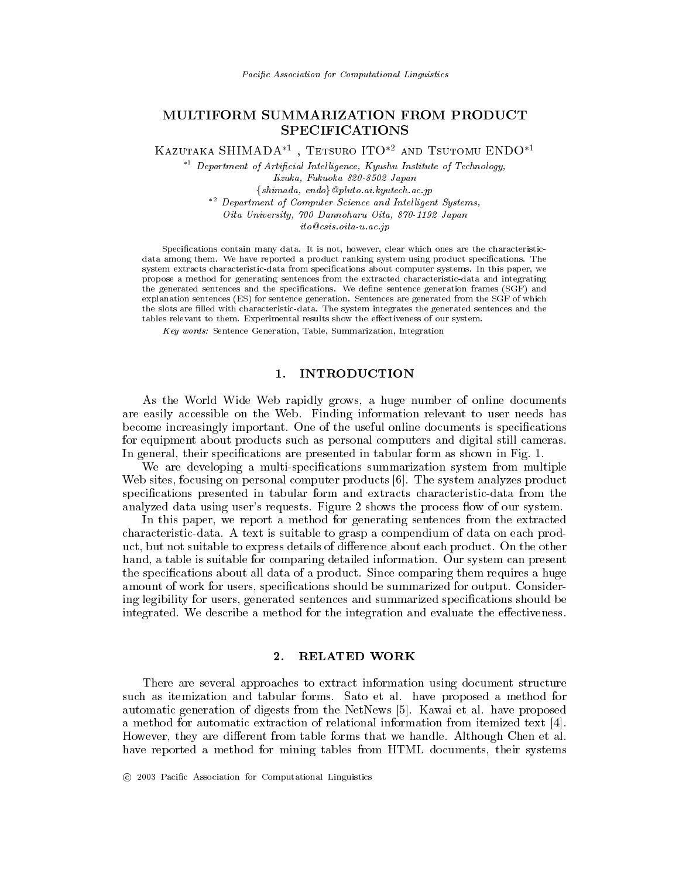# MULTIFORM SUMMARIZATION FROM PRODUCT **SPECIFICATIONS**

KAZUTAKA SHIMADA<sup>\*1</sup>, TETSURO ITO<sup>\*2</sup> AND TSUTOMU ENDO<sup>\*1</sup>

 $*$ <sup>1</sup> Department of Artificial Intelligence, Kyushu Institute of Technology, Iizuka, Fukuoka 820-8502 Japan  $\{shimada, endo\}$  *@pluto.ai.kyutech.ac.jp* \*<sup>2</sup> Department of Computer Science and Intelligent Systems, Oita University, 700 Dannoharu Oita, 870-1192 Japan

ito@csis.oita-u.ac.jp

Specifications contain many data. It is not, however, clear which ones are the characteristicdata among them. We have reported a product ranking system using product specifications. The system extracts characteristic-data from specifications about computer systems. In this paper, we propose a method for generating sentences from the extracted characteristic-data and integrating the generated sentences and the specifications. We define sentence generation frames (SGF) and explanation sentences (ES) for sentence generation. Sentences are generated from the SGF of which the slots are filled with characteristic-data. The system integrates the generated sentences and the tables relevant to them. Experimental results show the effectiveness of our system.

Key words: Sentence Generation, Table, Summarization, Integration

### **INTRODUCTION** 1.

As the World Wide Web rapidly grows, a huge number of online documents are easily accessible on the Web. Finding information relevant to user needs has become increasingly important. One of the useful online documents is specifications for equipment about products such as personal computers and digital still cameras. In general, their specifications are presented in tabular form as shown in Fig. 1.

We are developing a multi-specifications summarization system from multiple Web sites, focusing on personal computer products  $[6]$ . The system analyzes product specifications presented in tabular form and extracts characteristic-data from the analyzed data using user's requests. Figure 2 shows the process flow of our system.

In this paper, we report a method for generating sentences from the extracted characteristic-data. A text is suitable to grasp a compendium of data on each product, but not suitable to express details of difference about each product. On the other hand, a table is suitable for comparing detailed information. Our system can present the specifications about all data of a product. Since comparing them requires a huge amount of work for users, specifications should be summarized for output. Considering legibility for users, generated sentences and summarized specifications should be integrated. We describe a method for the integration and evaluate the effectiveness.

#### $2.$ **RELATED WORK**

There are several approaches to extract information using document structure such as itemization and tabular forms. Sato et al. have proposed a method for automatic generation of digests from the NetNews [5]. Kawai et al. have proposed a method for automatic extraction of relational information from itemized text [4]. However, they are different from table forms that we handle. Although Chen et al. have reported a method for mining tables from HTML documents, their systems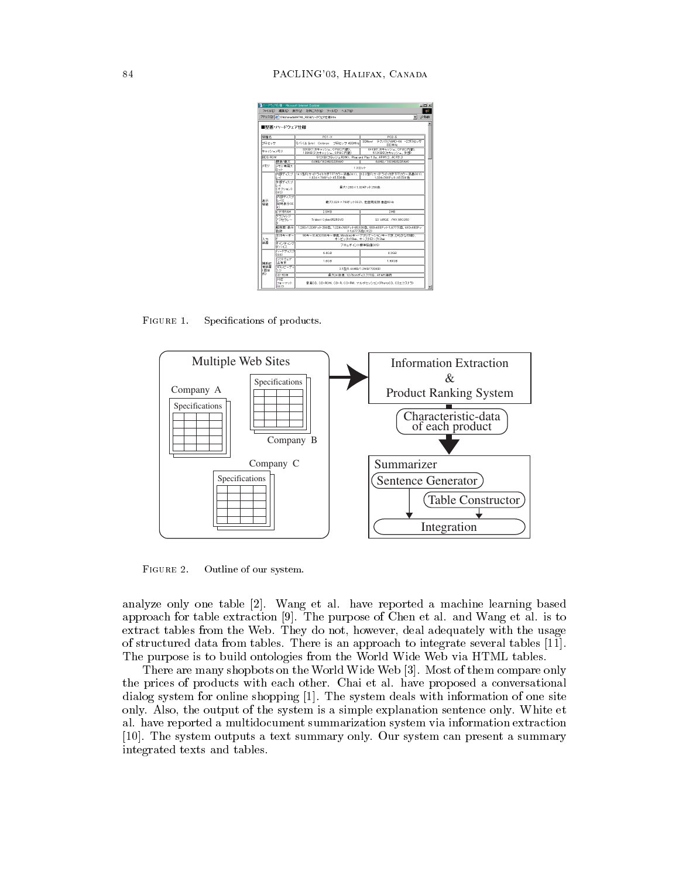|                |                                  | - ハードウェア仕様 - Microsoft Internet Explorer                                                      | <b>JDX</b>                                        |  |
|----------------|----------------------------------|-----------------------------------------------------------------------------------------------|---------------------------------------------------|--|
|                | ファイル(F) 編集(E)                    | 表示(V) お気に入り(A) ツール(T) ヘルプ(H)                                                                  |                                                   |  |
|                |                                  | アドレス(D) 2 D WahimadaWHTML_RESW\-ドウェア仕様Mm                                                      | ■ →移動                                             |  |
|                | ■型番・ハードウェア什様                     |                                                                                               |                                                   |  |
| 限権名            |                                  | $P(1-X)$                                                                                      | $P(12-S)$                                         |  |
| プロセッサ          |                                  | EJirlu Intel Celeron<br>ブロセッサ 400MHz                                                          | 3DNow!テクノロジAMD-K6 -2ブロセッサ<br>333MHz               |  |
| キャッシュメモリ       |                                  | 32KB(1次半+ッシュ、CPUこ内蔵)、<br>128KB(2) オキャッシュ、CPUに内数)                                              | 64KB0 次キャッシュ、CPUご内蔵)、<br>612KB2次キャッシュ、外部          |  |
| <b>ROS ROM</b> |                                  |                                                                                               | 512KB(フラッシュROM)、Plue and Play 1.0a、APM1.2、AOPI1.0 |  |
|                | 微淋/晶大                            | 64MB/192MBSDRAM)                                                                              | 64MR/192MR/SDRAM)                                 |  |
| ×∓v            | 図中リ専用2<br><b>Duk</b>             |                                                                                               | 120vF                                             |  |
|                | Lм                               | 内部ディスプ  141型FLサイドライト付きTETカラー液晶(※1)  13.3型FLサイドライト付きTETカラー液晶(※1)<br>1.024 × 768F + F:65 536 ft | 1024v768FvF:65536fb                               |  |
|                | 外部ディスプ<br>hи<br>(オザション)<br>(983) | 最大1.280×1.024ドット:256 色                                                                        |                                                   |  |
| 表示<br>樹飾       | 内部ディスプ<br>عمدا<br>同時表示OK<br>k)   | 最大1.024×768Fット0K2)、走査周波数:垂直60Hz                                                               |                                                   |  |
|                | ビデオRAM                           | 2.5MR                                                                                         | 2ME                                               |  |
|                | グラフィック<br>アクセラレー                 | Trident Cyber9525DVD                                                                          | S3 ViRGE /MX 860260                               |  |
|                | 新肉度:表示<br>色的                     | 1.280x1.024ドット:256余、1.024x768ドット:65.536余、800x600ドット:1.677 万余、640x480ドッ<br>ト1.677万色(※2)        |                                                   |  |
| 入力             | 本体キーボー                           | 90キーのADG106キー準約、Windowsキー・アナリケーションキー付き、ひらがなED原D、<br>キービッチ:19m. キーストローク:3m                     |                                                   |  |
| 認定             | 米インティング<br>デバイス                  | アキュポイント標準装備(※5)                                                                               |                                                   |  |
|                | ハードディスク<br>(888)                 | 64GB                                                                                          | 43GB                                              |  |
| 補助評            | リワトウェア<br>占有率                    | 1.6GB                                                                                         | 159GB                                             |  |
| 情認度<br>く間学     | フロッピーディ<br>スク                    | 3 5 5/01 44 MB/1 2MB/720KB)                                                                   |                                                   |  |
| HO.            | CD-ROM                           |                                                                                               | 最大24倍速 12/8cmディスク対応、ATAPI接続                       |  |
|                | सक<br>フォーマット<br>(SK 7)           |                                                                                               | 音違にD、CD-ROM、CD-R、CD-RW、マルチセッション (PhotoCD、CDエクストラ) |  |

FIGURE 1. 



FIGURE 2.  -

analyze only one table  $|2|$ . Wang et al. have reported a machine learning based  $\alpha$ pprower for ewore entrancement for the parpose of Qifen of an anta-traing of an 10 to  $\alpha$  $\alpha$  . The contract the contract of  $\alpha$  is the state of  $\alpha$  and  $\alpha$  and  $\alpha$  and  $\alpha$  and  $\alpha$  and  $\alpha$  -- - - \$  

 - --  - !#  $\frac{1}{2}$  . The property of the strength of the state  $\frac{1}{2}$  . The state  $\frac{1}{2}$  is the state  $\frac{1}{2}$  constant

A AASA SUMMARY MAASHI MUUSU MAASHI ILMA ILAAN ILMA ILMA ISTITTI ALAMAN MATHAMATI MAAAHA MAAAHA MAAAHA ISAA AHA .... prices of programs with cast care. Offer at all flats proposed a componential  - !# \$ -  - - extra trace compare of the storm to a simple chipterious servered chip, things of  $\alpha$ n nato reported a mandele camente cammandandulle specification information chelaethon.  $\left( \begin{smallmatrix} 1 & 1 & 1 & 1 & 1 \ 1 & 1 & 1 & 1 \end{smallmatrix} \right)$  . We can consider the contract of  $\left( \begin{smallmatrix} 1 & 1 & 1 \ 1 & 1 & 1 \end{smallmatrix} \right)$  . Our specific contract of semi-metal  $\left( \begin{smallmatrix} 1 & 1 & 1 \ 1 & 1 & 1 & 1 \end{smallmatrix} \right)$ -- -%-  -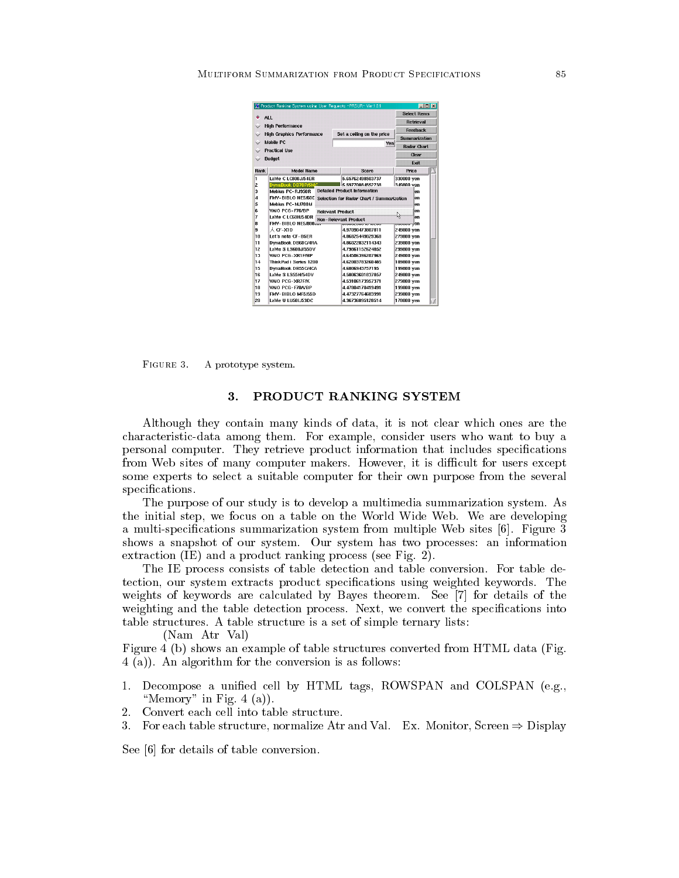|                                                    | K Product Ranking System using User Requests -PRSUR- Ver.1.3.1 |                                           | $\Box$ D $\times$<br><b>Select Items</b> |  |
|----------------------------------------------------|----------------------------------------------------------------|-------------------------------------------|------------------------------------------|--|
|                                                    | ALL.                                                           |                                           |                                          |  |
|                                                    | <b>High Performance</b>                                        | <b>Retrieval</b>                          |                                          |  |
| $\checkmark$                                       | <b>High Graphics Performance</b>                               | Set a ceiling on the price                | <b>Feedback</b>                          |  |
|                                                    |                                                                |                                           | <b>Summarization</b>                     |  |
|                                                    | Mobile PC                                                      | Yen                                       | <b>Radar Chart</b>                       |  |
|                                                    | <b>Practical Use</b>                                           |                                           | Clear                                    |  |
| $\checkmark$                                       | <b>Budget</b>                                                  |                                           |                                          |  |
|                                                    |                                                                |                                           | Exit                                     |  |
| Rank                                               | <b>Model Name</b>                                              | Score                                     | Price                                    |  |
| ı                                                  | LaVie C LC800J/54ER                                            | 5.65762498503737                          | 330000 yen                               |  |
| 2                                                  | DynaBook DB70P/5MC                                             | 5.59770084552738                          | 349800 ven                               |  |
| ă                                                  | Mebius PC-RJ950R                                               | <b>Detailed Product Information</b>       | en                                       |  |
| a                                                  | FMV-BIBLO NE5/60E                                              | Selection for Radar Chart / Summarization | en                                       |  |
| 5                                                  | Mebius PC-MJ700M                                               |                                           | en                                       |  |
| ĥ                                                  | VAIO PCG-F76/RP<br><b>Relevant Product</b>                     | Аn                                        |                                          |  |
| 7                                                  | LaVie C LC60H/54DR<br><b>Non-Relevant Product</b>              | H<br>en                                   |                                          |  |
| R                                                  | <b>EMV-BIBLO NE5/800</b>                                       |                                           |                                          |  |
| ۱q                                                 | 人 CF-XID                                                       | 4.97090473807811                          | <del></del> ,en                          |  |
|                                                    |                                                                |                                           | 249800 yen                               |  |
|                                                    | Let's note CF-B5ER                                             | 4.86825449029368                          | 279800 ven                               |  |
|                                                    | DynaBook DB60C/4RA                                             | 4.86022832114343                          | 239800 yen                               |  |
|                                                    | LaVie S LS600J/55DV                                            | 4.79861152624852                          | 299800 yen                               |  |
|                                                    | VAIO PCG-XR1F/RP                                               | 4.64586396287969                          | 249800 yen                               |  |
|                                                    | ThinkPad i Series 1200                                         | 4.62003783260485                          | 189800 ven                               |  |
|                                                    | DynaBook DB55C/4CA                                             | 4.6006943757195                           | 199800 ven                               |  |
|                                                    | LaVie S LS55H/54DV                                             | 4.58063601837857                          | 249800 yen                               |  |
|                                                    | VAIO PCG-XR7F/K                                                | 4.53106173957371                          | 279800 ven                               |  |
| 10<br>11<br>12<br>13<br>14<br>15<br>16<br>17<br>18 | VAIO PCG-F70A/BP                                               | 4.47804170419491                          | 199800 yen                               |  |
| 19<br>20                                           | FMV-BIBLO MF5/55D<br>LaVie U LU50L/53DC                        | 4.47327764683991<br>4.36736095128514      | 239800 yen<br>178000 ven                 |  |

FIGURE 3. A prototype system.

## 3. PRODUCT RANKING SYSTEM

Although they contain many kinds of data, it is not clear which ones are the characteristic-data among them. For example, consider users who want to buy a personal computer. They retrieve product information that includes specifications from Web sites of many computer makers. However, it is difficult for users except some experts to select a suitable computer for their own purpose from the several specifications.

The purpose of our study is to develop a multimedia summarization system. As the initial step, we focus on a table on the World Wide Web. We are developing a multi-specifications summarization system from multiple Web sites [6]. Figure 3 shows a snapshot of our system. Our system has two processes: an information extraction  $(IE)$  and a product ranking process (see Fig. 2).

The IE process consists of table detection and table conversion. For table detection, our system extracts product specifications using weighted keywords. The weights of keywords are calculated by Bayes theorem. See [7] for details of the weighting and the table detection process. Next, we convert the specifications into table structures. A table structure is a set of simple ternary lists:

(Nam Atr Val)

Figure 4 (b) shows an example of table structures converted from HTML data (Fig.  $4(a)$ ). An algorithm for the conversion is as follows:

- 1. Decompose a unified cell by HTML tags, ROWSPAN and COLSPAN (e.g., "Memory" in Fig.  $4(a)$ ).
- $\overline{2}$ . Convert each cell into table structure.
- 3. For each table structure, normalize Atr and Val. Ex. Monitor, Screen  $\Rightarrow$  Display

See [6] for details of table conversion.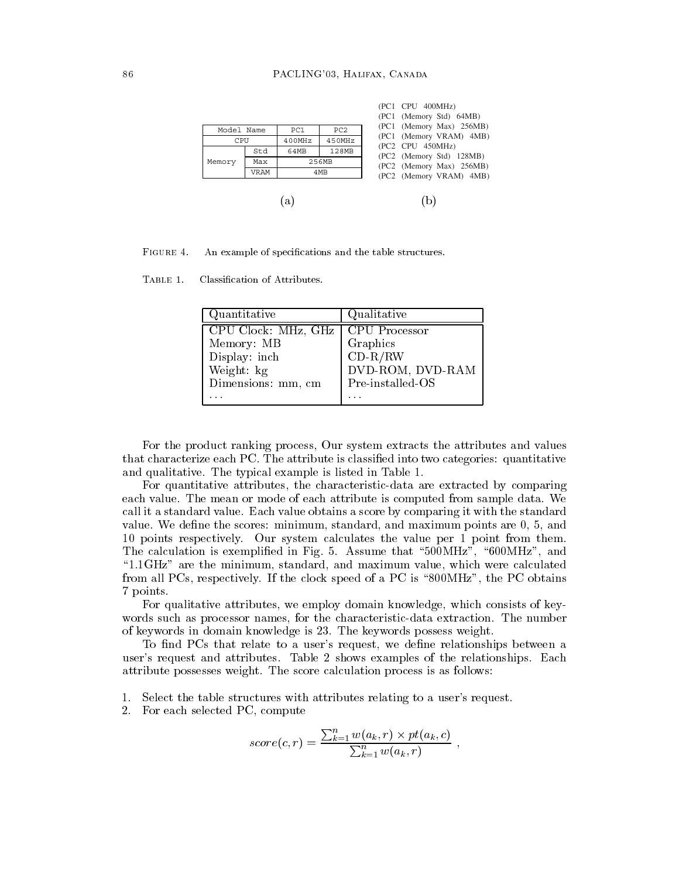

FIGURE 4. An example of specifications and the table structures.

TABLE 1. Classification of Attributes.

| Quantitative        | Qualitative          |
|---------------------|----------------------|
| CPU Clock: MHz, GHz | <b>CPU</b> Processor |
| Memory: MB          | Graphics             |
| Display: inch       | $CD-R/RW$            |
| Weight: kg          | DVD-ROM, DVD-RAM     |
| Dimensions: mm, cm  | Pre-installed-OS     |
|                     |                      |

For the product ranking process, Our system extracts the attributes and values that characterize each PC. The attribute is classified into two categories: quantitative and qualitative. The typical example is listed in Table 1.

For quantitative attributes, the characteristic-data are extracted by comparing each value. The mean or mode of each attribute is computed from sample data. We call it a standard value. Each value obtains a score by comparing it with the standard value. We define the scores: minimum, standard, and maximum points are 0, 5, and 10 points respectively. Our system calculates the value per 1 point from them. The calculation is exemplified in Fig. 5. Assume that "500MHz", "600MHz", and "1.1GHz" are the minimum, standard, and maximum value, which were calculated from all PCs, respectively. If the clock speed of a PC is "800MHz", the PC obtains 7 points.

For qualitative attributes, we employ domain knowledge, which consists of keywords such as processor names, for the characteristic-data extraction. The number of keywords in domain knowledge is 23. The keywords possess weight.

To find PCs that relate to a user's request, we define relationships between a user's request and attributes. Table 2 shows examples of the relationships. Each attribute possesses weight. The score calculation process is as follows:

- Select the table structures with attributes relating to a user's request. 1.
- $2.$ For each selected PC, compute

$$
score(c,r) = \frac{\sum_{k=1}^{n} w(a_k, r) \times pt(a_k, c)}{\sum_{k=1}^{n} w(a_k, r)},
$$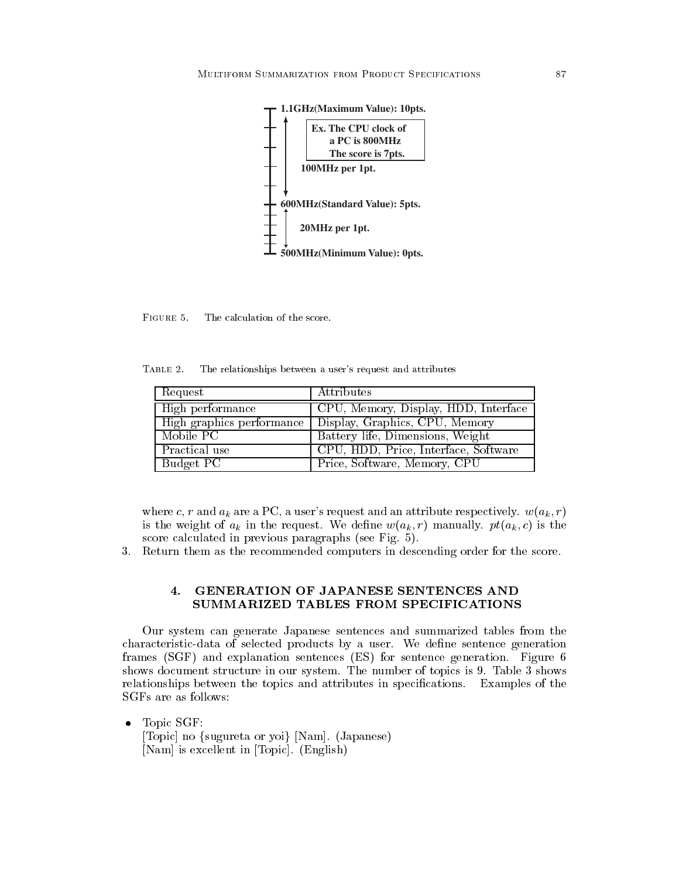

FIGURE 5. The calculation of the score.

TABLE 2. The relationships between a user's request and attributes

| Request          | Attributes                                               |
|------------------|----------------------------------------------------------|
| High performance | CPU, Memory, Display, HDD, Interface                     |
|                  | High graphics performance Display, Graphics, CPU, Memory |
| Mobile PC        | Battery life, Dimensions, Weight                         |
| Practical use    | CPU, HDD, Price, Interface, Software                     |
| Budget PC        | Price, Software, Memory, CPU                             |

where c, r and  $a_k$  are a PC, a user's request and an attribute respectively.  $w(a_k, r)$ is the weight of  $a_k$  in the request. We define  $w(a_k, r)$  manually.  $pt(a_k, c)$  is the score calculated in previous paragraphs (see Fig. 5).

3. Return them as the recommended computers in descending order for the score.

## GENERATION OF JAPANESE SENTENCES AND  $\boldsymbol{4}$ . SUMMARIZED TABLES FROM SPECIFICATIONS

Our system can generate Japanese sentences and summarized tables from the characteristic-data of selected products by a user. We define sentence generation frames (SGF) and explanation sentences (ES) for sentence generation. Figure 6 shows document structure in our system. The number of topics is 9. Table 3 shows relationships between the topics and attributes in specifications. Examples of the SGFs are as follows:

Topic SGF:  $\bullet$ [Topic] no {sugureta or yoi} [Nam]. (Japanese) [Nam] is excellent in [Topic]. (English)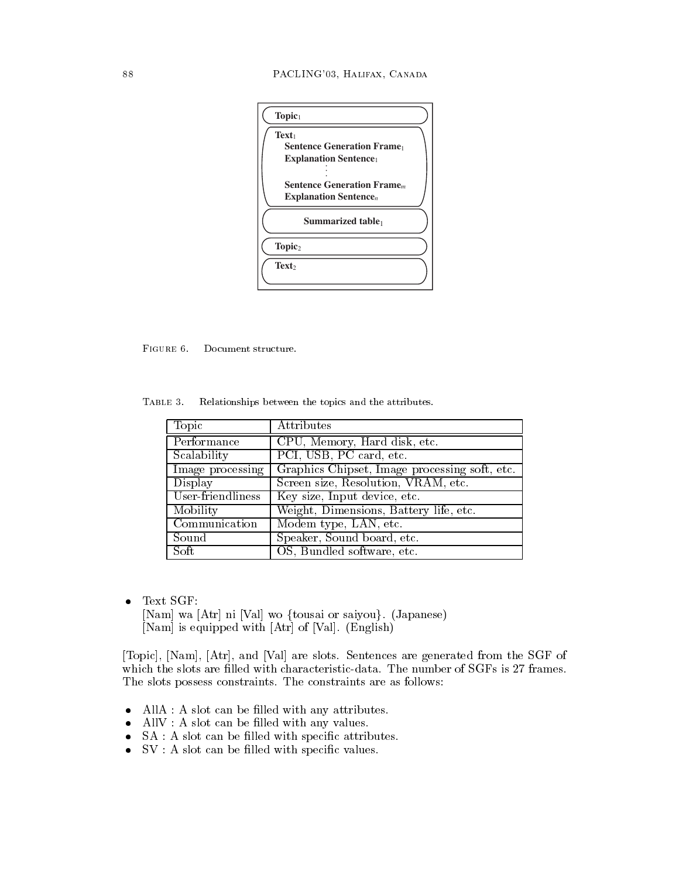| Topic <sub>1</sub>                                                                   |  |
|--------------------------------------------------------------------------------------|--|
| Text <sub>1</sub><br><b>Sentence Generation Frame</b><br><b>Explanation Sentence</b> |  |
| <b>Sentence Generation Frame</b><br>Explanation Sentence $n$                         |  |
| Summarized table                                                                     |  |
| Topic <sub>2</sub>                                                                   |  |
| Text <sub>2</sub>                                                                    |  |

FIGURE 6. Document structure.

TABLE 3. Relationships between the topics and the attributes.

| Topic             | Attributes                                    |
|-------------------|-----------------------------------------------|
| Performance       | CPU, Memory, Hard disk, etc.                  |
| Scalability       | PCI, USB, PC card, etc.                       |
| Image processing  | Graphics Chipset, Image processing soft, etc. |
| Display           | Screen size, Resolution, VRAM, etc.           |
| User-friendliness | Key size, Input device, etc.                  |
| Mobility          | Weight, Dimensions, Battery life, etc.        |
| Communication     | Modem type, LAN, etc.                         |
| Sound             | Speaker, Sound board, etc.                    |
| Soft              | OS, Bundled software, etc.                    |

Text SGF:  $\bullet$ [Nam] wa [Atr] ni [Val] wo {tousai or saiyou}. (Japanese) [Nam] is equipped with [Atr] of [Val]. (English)

[Topic], [Nam], [Atr], and [Val] are slots. Sentences are generated from the SGF of which the slots are filled with characteristic-data. The number of SGFs is 27 frames. The slots possess constraints. The constraints are as follows:

- $\bullet$  AllA : A slot can be filled with any attributes.
- All  $V : A$  slot can be filled with any values.
- $\bullet$  SA : A slot can be filled with specific attributes.
- $\bullet$  SV : A slot can be filled with specific values.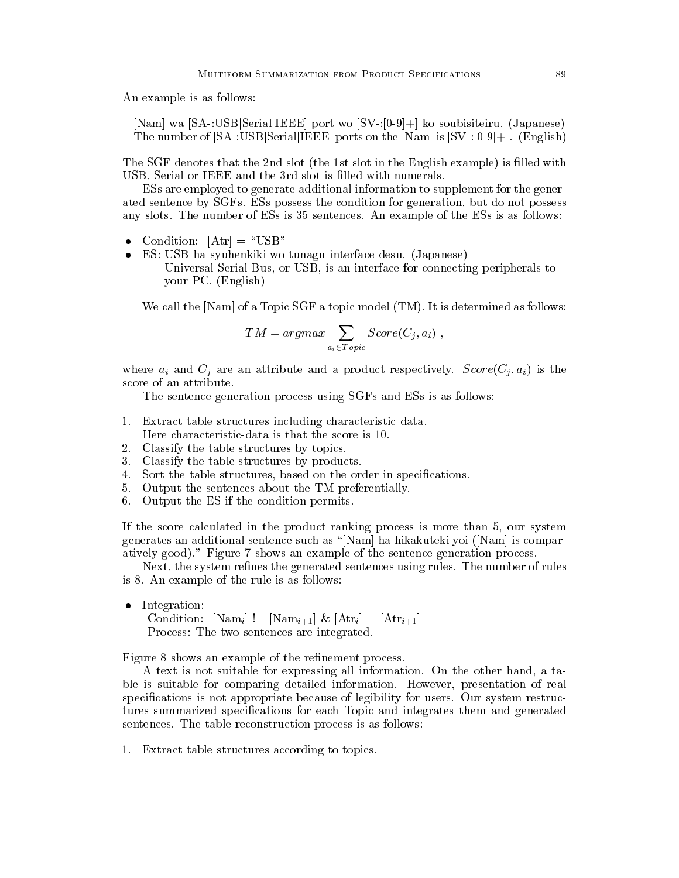An example is as follows:

[Nam] wa [SA-:USB|Serial|IEEE] port wo  $[SV-[0-9]+]$  ko soubisiteiru. (Japanese) The number of  $[SA$ -:USB $]$ Serial $]$ [EEE] ports on the  $[Nam]$  is  $[SV$ -: $[0-9]+]$ . (English)

The SGF denotes that the 2nd slot (the 1st slot in the English example) is filled with USB, Serial or IEEE and the 3rd slot is filled with numerals.

ESs are employed to generate additional information to supplement for the generated sentence by SGFs. ESs possess the condition for generation, but do not possess any slots. The number of ESs is 35 sentences. An example of the ESs is as follows:

- Condition:  $[Art] = "USB"$  $\bullet$
- ES: USB ha syuhenkiki wo tunagu interface desu. (Japanese) Universal Serial Bus, or USB, is an interface for connecting peripherals to your PC. (English)

We call the [Nam] of a Topic SGF a topic model (TM). It is determined as follows:

$$
TM = argmax \sum_{a_i \in Topic} Score(C_j, a_i) ,
$$

where  $a_i$  and  $C_j$  are an attribute and a product respectively.  $Score(C_i, a_i)$  is the score of an attribute.

The sentence generation process using SGFs and ESs is as follows:

- 1. Extract table structures including characteristic data. Here characteristic-data is that the score is 10.
- 2. Classify the table structures by topics.
- 3. Classify the table structures by products.
- Sort the table structures, based on the order in specifications. 4.
- 5. Output the sentences about the TM preferentially.
- 6. Output the ES if the condition permits.

If the score calculated in the product ranking process is more than 5, our system generates an additional sentence such as "[Nam] ha hikakuteki yoi ([Nam] is comparatively good)." Figure 7 shows an example of the sentence generation process.

Next, the system refines the generated sentences using rules. The number of rules is 8. An example of the rule is as follows:

Integration:  $\bullet$ Condition:  $\lceil \text{Nam}_i \rceil \rceil = \lceil \text{Nam}_{i+1} \rceil \& \lceil \text{Attr}_i \rceil = \lceil \text{Attr}_{i+1} \rceil$ Process: The two sentences are integrated.

Figure 8 shows an example of the refinement process.

A text is not suitable for expressing all information. On the other hand, a table is suitable for comparing detailed information. However, presentation of real specifications is not appropriate because of legibility for users. Our system restructures summarized specifications for each Topic and integrates them and generated sentences. The table reconstruction process is as follows:

1. Extract table structures according to topics.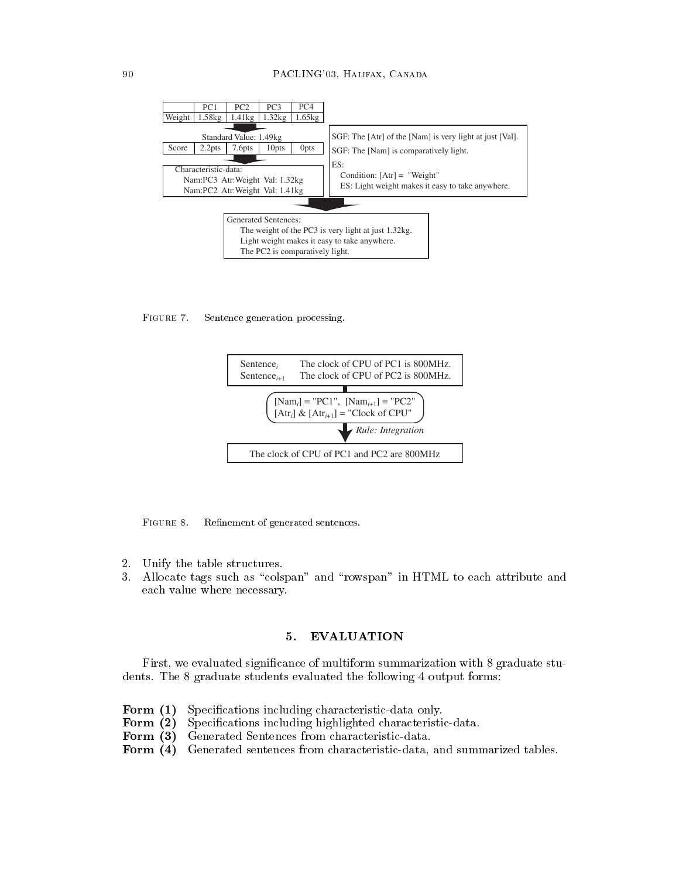

FIGURE 7. Sentence generation processing.



FIGURE 8. Refinement of generated sentences.

- 2. Unify the table structures.
- 3. Allocate tags such as "colspan" and "rowspan" in HTML to each attribute and each value where necessary.

## 5. **EVALUATION**

First, we evaluated significance of multiform summarization with 8 graduate students. The 8 graduate students evaluated the following 4 output forms:

- Form  $(1)$ Specifications including characteristic-data only.
- Form  $(2)$ Specifications including highlighted characteristic-data.
- Form  $(3)$ Generated Sentences from characteristic-data.
- Form  $(4)$ Generated sentences from characteristic-data, and summarized tables.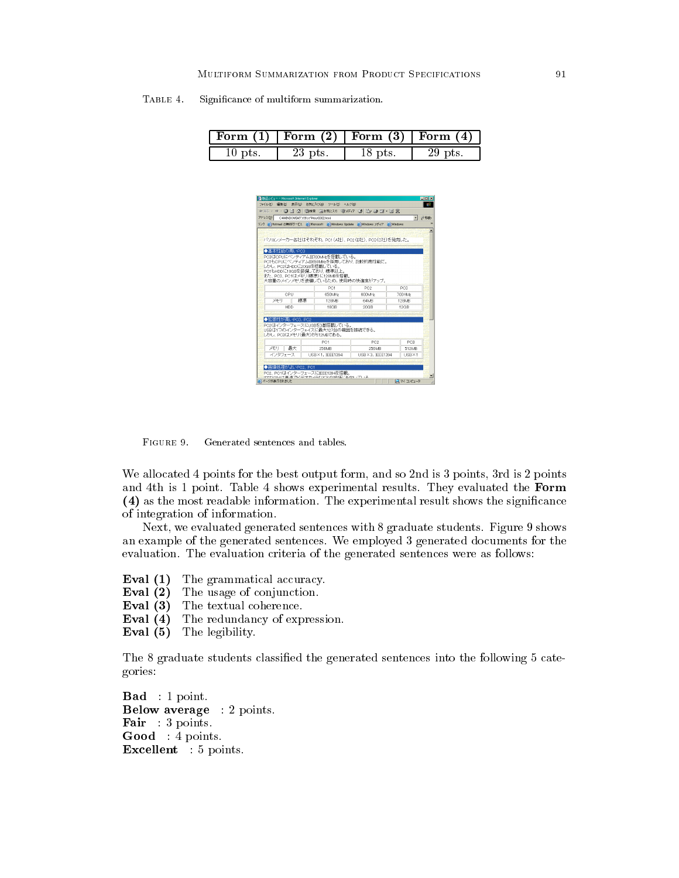| TABLE 4. |  |                                          |
|----------|--|------------------------------------------|
|          |  | Significance of multiform summarization. |

|           | Form $(1)$   Form $(2)$   Form $(3)$   Form $(4)$ |         |         |
|-----------|---------------------------------------------------|---------|---------|
| $10$ pts. | 23 pts.                                           | 18 pts. | 29 pts. |

|                           | アドレス(D) C#WINDOWS#デスクトップ#test0302.html |                                  |                                                                             | ▼ →移動                    |
|---------------------------|----------------------------------------|----------------------------------|-----------------------------------------------------------------------------|--------------------------|
|                           |                                        |                                  | リンク 金 Hotmail の無料サービス 全 Microsoft 全 Windows Update 全 Windows メディア 全 Windows |                          |
|                           |                                        |                                  |                                                                             |                          |
|                           |                                        |                                  | パソコンメーカー各社はそれぞれ、PC1(A社)、PC2(B社)、PC3(C社)を発売した。                               |                          |
|                           |                                        |                                  |                                                                             |                          |
| ◆基本性能の高いPC3               |                                        |                                  |                                                                             |                          |
|                           |                                        | PC3はCPUにペンティアムIII700MHzを搭載している。  |                                                                             |                          |
| しかし、PC2はHDDに20GBを搭載している。  |                                        |                                  | PC1もCPUにペンティアムII650MHzを採用しており、比較的高性能だ。                                      |                          |
|                           |                                        | PC1もHDDに18GBを装備しており、標準以上。        |                                                                             |                          |
|                           |                                        | また、PC3. PC1はメモリ(標準)に128MBを搭載。    |                                                                             |                          |
|                           |                                        |                                  | 大容量のメインメモリを装備しているため、使用時の快適度がアップ。                                            |                          |
|                           |                                        | PC1                              | PC2                                                                         | PC3                      |
| CPU                       |                                        | 650MHz                           | 600MHz                                                                      | <b>700HMz</b>            |
| 头手叮                       | 探進                                     | 128MB                            | 64M <sub>R</sub>                                                            | 128MB                    |
| <b>HDD</b>                |                                        | 18GB                             | 20GB                                                                        | 12GB                     |
|                           |                                        |                                  |                                                                             |                          |
|                           |                                        |                                  |                                                                             |                          |
| ◆拡張性が高いPC3、PC2            |                                        |                                  |                                                                             |                          |
|                           |                                        | PC2ほインターフェースにUSBを3基搭載している。       |                                                                             |                          |
|                           |                                        | USBは1つのインターフェイスに最大127台の機器を接続できる。 |                                                                             |                          |
| しかし、PC3はメモリ(最大)が512MBである。 |                                        |                                  |                                                                             |                          |
|                           |                                        | PC1                              | PC <sub>2</sub>                                                             | PC3                      |
| メモリ 最大<br>インタフェース         |                                        | 256MB<br>USB×1, IEEE1394         | 256MB<br>USBX3, IFFF1394                                                    | 512MB<br>$LISR \times 1$ |

FIGURE 9. Generated sentences and tables.

We allocated 4 points for the best output form, and so 2nd is 3 points, 3rd is 2 points and 4th is 1 point. Table 4 shows experimental results. They evaluated the Form (4) as the most readable information. The experimental result shows the significance of integration of information.

Next, we evaluated generated sentences with 8 graduate students. Figure 9 shows an example of the generated sentences. We employed 3 generated documents for the evaluation. The evaluation criteria of the generated sentences were as follows:

Eval  $(1)$ The grammatical accuracy.

Eval  $(2)$ The usage of conjunction.

Eval  $(3)$ The textual coherence.

- Eval  $(4)$ The redundancy of expression.
- **Eval** (5) The legibility.

The 8 graduate students classified the generated sentences into the following 5 categories:

 $\mathbf{Bad} : 1 \text{ point.}$ **Below average** : 2 points. **Fair** :  $3$  points. Good: 4 points. **Excellent** : 5 points.